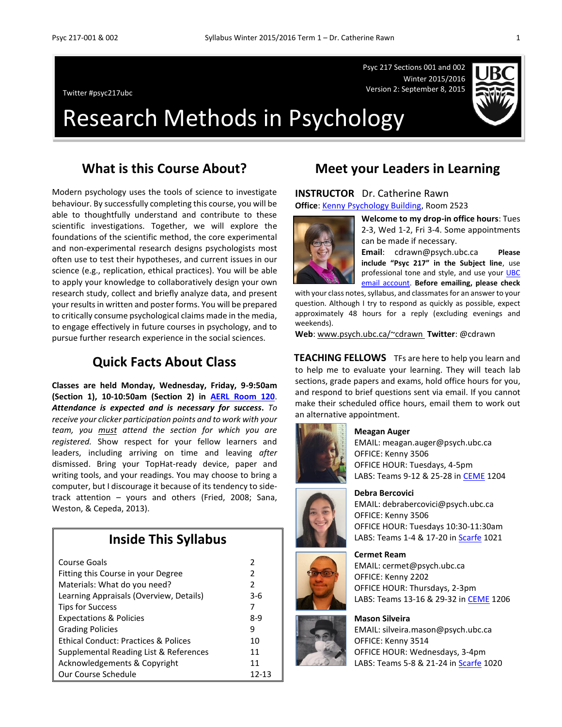Psyc 217 Sections 001 and 002 Winter 2015/2016 Version 2: September 8, 2015 Twitter #psyc217ubc



# Research Methods in Psychology

### **What is this Course About?**

Modern psychology uses the tools of science to investigate behaviour. By successfully completing this course, you will be able to thoughtfully understand and contribute to these scientific investigations. Together, we will explore the foundations of the scientific method, the core experimental and non-experimental research designs psychologists most often use to test their hypotheses, and current issues in our science (e.g., replication, ethical practices). You will be able to apply your knowledge to collaboratively design your own research study, collect and briefly analyze data, and present your results in written and poster forms. You will be prepared to critically consume psychological claims made in the media, to engage effectively in future courses in psychology, and to pursue further research experience in the social sciences.

### **Quick Facts About Class**

**Classes are held Monday, Wednesday, Friday, 9-9:50am (Section 1), 10-10:50am (Section 2) in [AERL Room 120](http://www.maps.ubc.ca/PROD/index_detail.php?locat1=316)**. *Attendance is expected and is necessary for success***.** *To receive your clicker participation points and to work with your team, you must attend the section for which you are registered.* Show respect for your fellow learners and leaders, including arriving on time and leaving *after* dismissed. Bring your TopHat-ready device, paper and writing tools, and your readings. You may choose to bring a computer, but I discourage it because of its tendency to sidetrack attention – yours and others (Fried, 2008; Sana, Weston, & Cepeda, 2013).

### **Inside This Syllabus**

| Course Goals                                    | 2             |
|-------------------------------------------------|---------------|
| Fitting this Course in your Degree              | 2             |
| Materials: What do you need?                    | $\mathcal{P}$ |
| Learning Appraisals (Overview, Details)         | 3-6           |
| <b>Tips for Success</b>                         | 7             |
| <b>Expectations &amp; Policies</b>              | 8-9           |
| <b>Grading Policies</b>                         | 9             |
| <b>Ethical Conduct: Practices &amp; Polices</b> | 10            |
| Supplemental Reading List & References          | 11            |
| Acknowledgements & Copyright                    | 11            |
| Our Course Schedule                             | 12-13         |

### **Meet your Leaders in Learning**

#### **INSTRUCTOR** Dr. Catherine Rawn

**Office**[: Kenny Psychology Building,](http://www.maps.ubc.ca/PROD/index_detail.php?locat1=732) Room 2523



**Welcome to my drop-in office hours**: Tues 2-3, Wed 1-2, Fri 3-4. Some appointments can be made if necessary.

**Email**: cdrawn@psych.ubc.ca **Please include "Psyc 217" in the Subject line**, use professional tone and style, and use your UBC [email account.](http://it.ubc.ca/services/email-voice-internet/student-alumni-email-service) **Before emailing, please check**

with your class notes, syllabus, and classmates for an answer to your question. Although I try to respond as quickly as possible, expect approximately 48 hours for a reply (excluding evenings and weekends).

**Web**: [www.psych.ubc.ca/~cdrawn](http://www.psych.ubc.ca/~cdrawn) **Twitter**: @cdrawn

**TEACHING FELLOWS** TFs are here to help you learn and to help me to evaluate your learning. They will teach lab sections, grade papers and exams, hold office hours for you, and respond to brief questions sent via email. If you cannot make their scheduled office hours, email them to work out an alternative appointment.



#### **Meagan Auger**

EMAIL: meagan.auger@psych.ubc.ca OFFICE: Kenny 3506 OFFICE HOUR: Tuesdays, 4-5pm LABS: Teams 9-12 & 25-28 in [CEME](http://www.maps.ubc.ca/PROD/index_detail.php?show=y,n,n,n,n,y&bldg2Search=n&locat1=306) 1204



## **Debra Bercovici**

EMAIL: debrabercovici@psych.ubc.ca OFFICE: Kenny 3506 OFFICE HOUR: Tuesdays 10:30-11:30am LABS: Teams 1-4 & 17-20 i[n Scarfe](http://www.maps.ubc.ca/PROD/index_detail.php?locat1=240-1) 1021

#### **Cermet Ream**

EMAIL: cermet@psych.ubc.ca OFFICE: Kenny 2202 OFFICE HOUR: Thursdays, 2-3pm LABS: Teams 13-16 & 29-32 in [CEME](http://www.maps.ubc.ca/PROD/index_detail.php?show=y,n,n,n,n,y&bldg2Search=n&locat1=306) 1206

#### **Mason Silveira**

EMAIL: silveira.mason@psych.ubc.ca OFFICE: Kenny 3514 OFFICE HOUR: Wednesdays, 3-4pm LABS: Teams 5-8 & 21-24 i[n Scarfe](http://www.maps.ubc.ca/PROD/index_detail.php?locat1=240-1) 1020



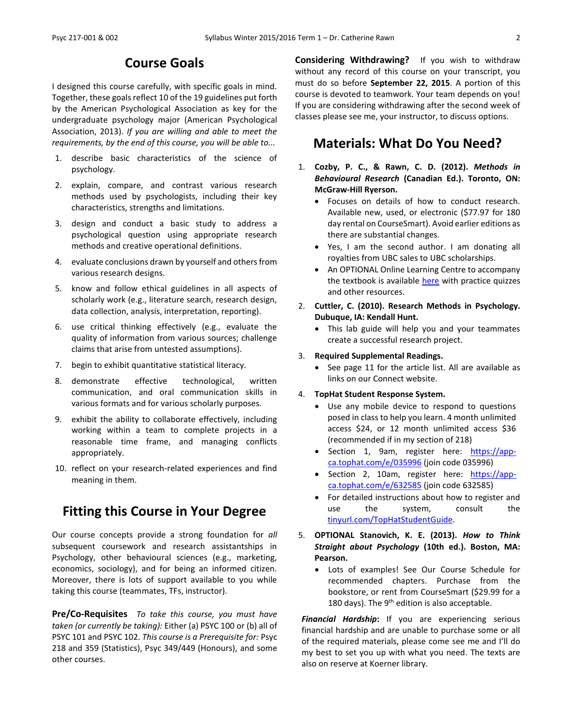### **Course Goals**

I designed this course carefully, with specific goals in mind. Together, these goals reflect 10 of the 19 guidelines put forth by the American Psychological Association as key for the undergraduate psychology major (American Psychological Association, 2013). *If you are willing and able to meet the requirements, by the end of this course, you will be able to...*

- 1. describe basic characteristics of the science of psychology.
- 2. explain, compare, and contrast various research methods used by psychologists, including their key characteristics, strengths and limitations.
- 3. design and conduct a basic study to address a psychological question using appropriate research methods and creative operational definitions.
- 4. evaluate conclusions drawn by yourself and others from various research designs.
- 5. know and follow ethical guidelines in all aspects of scholarly work (e.g., literature search, research design, data collection, analysis, interpretation, reporting).
- 6. use critical thinking effectively (e.g., evaluate the quality of information from various sources; challenge claims that arise from untested assumptions).
- 7. begin to exhibit quantitative statistical literacy.
- 8. demonstrate effective technological, written communication, and oral communication skills in various formats and for various scholarly purposes.
- 9. exhibit the ability to collaborate effectively, including working within a team to complete projects in a reasonable time frame, and managing conflicts appropriately.
- 10. reflect on your research-related experiences and find meaning in them.

## **Fitting this Course in Your Degree**

Our course concepts provide a strong foundation for *all* subsequent coursework and research assistantships in Psychology, other behavioural sciences (e.g., marketing, economics, sociology), and for being an informed citizen. Moreover, there is lots of support available to you while taking this course (teammates, TFs, instructor).

**Pre/Co-Requisites** *To take this course, you must have taken (or currently be taking):* Either (a) PSYC 100 or (b) all of PSYC 101 and PSYC 102. *This course is a Prerequisite for:* Psyc 218 and 359 (Statistics), Psyc 349/449 (Honours), and some other courses.

**Considering Withdrawing?** If you wish to withdraw without any record of this course on your transcript, you must do so before **September 22, 2015**. A portion of this course is devoted to teamwork. Your team depends on you! If you are considering withdrawing after the second week of classes please see me, your instructor, to discuss options.

### **Materials: What Do You Need?**

- 1. **Cozby, P. C., & Rawn, C. D. (2012).** *Methods in Behavioural Research* **(Canadian Ed.). Toronto, ON: McGraw-Hill Ryerson.**
	- Focuses on details of how to conduct research. Available new, used, or electronic (\$77.97 for 180 day rental on CourseSmart). Avoid earlier editions as there are substantial changes.
	- Yes, I am the second author. I am donating all royalties from UBC sales to UBC scholarships.
	- An OPTIONAL Online Learning Centre to accompany the textbook is available [here](http://highered.mheducation.com/sites/0071056734/student_view0/index.html) with practice quizzes and other resources.
- 2. **Cuttler, C. (2010). Research Methods in Psychology. Dubuque, IA: Kendall Hunt.**
	- This lab guide will help you and your teammates create a successful research project.
- 3. **Required Supplemental Readings.**
	- See page 11 for the article list. All are available as links on our Connect website.

#### 4. **TopHat Student Response System.**

- Use any mobile device to respond to questions posed in class to help you learn. 4 month unlimited access \$24, or 12 month unlimited access \$36 (recommended if in my section of 218)
- Section 1, 9am, register here: [https://app](https://app-ca.tophat.com/e/035996)[ca.tophat.com/e/035996](https://app-ca.tophat.com/e/035996) (join code 035996)
- Section 2, 10am, register here: [https://app](https://app-ca.tophat.com/e/632585)[ca.tophat.com/e/632585](https://app-ca.tophat.com/e/632585) (join code 632585)
- For detailed instructions about how to register and use the system, consult the [tinyurl.com/TopHatStudentGuide](file:///H:/Teaching%20Courses/Current%20217%202015.2016%20Term%201/Syllabus,%20Forms,%20Assignments/tinyurl.com/TopHatStudentGuide)*.*
- 5. **OPTIONAL Stanovich, K. E. (2013).** *How to Think Straight about Psychology* **(10th ed.). Boston, MA: Pearson.**
	- Lots of examples! See Our Course Schedule for recommended chapters. Purchase from the bookstore, or rent from CourseSmart (\$29.99 for a 180 days). The  $9<sup>th</sup>$  edition is also acceptable.

*Financial Hardship***:** If you are experiencing serious financial hardship and are unable to purchase some or all of the required materials, please come see me and I'll do my best to set you up with what you need. The texts are also on reserve at Koerner library.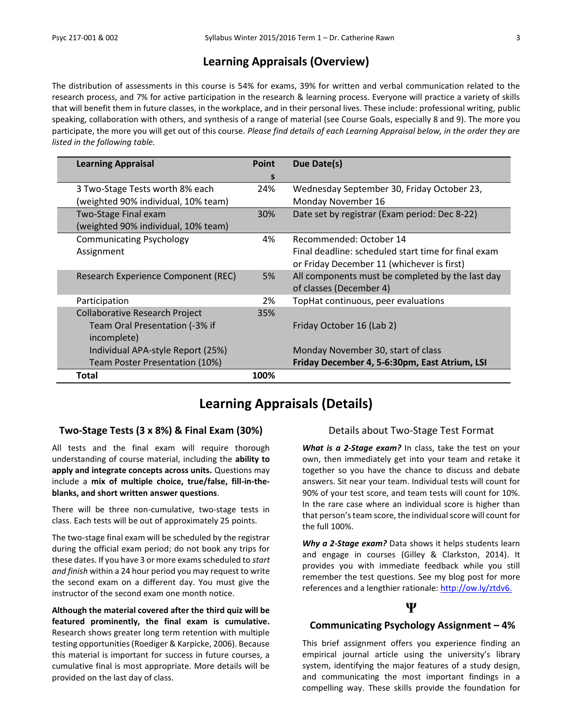### **Learning Appraisals (Overview)**

The distribution of assessments in this course is 54% for exams, 39% for written and verbal communication related to the research process, and 7% for active participation in the research & learning process. Everyone will practice a variety of skills that will benefit them in future classes, in the workplace, and in their personal lives. These include: professional writing, public speaking, collaboration with others, and synthesis of a range of material (see Course Goals, especially 8 and 9). The more you participate, the more you will get out of this course. *Please find details of each Learning Appraisal below, in the order they are listed in the following table.*

| <b>Learning Appraisal</b>             | <b>Point</b> | Due Date(s)                                         |
|---------------------------------------|--------------|-----------------------------------------------------|
|                                       | S            |                                                     |
| 3 Two-Stage Tests worth 8% each       | 24%          | Wednesday September 30, Friday October 23,          |
| (weighted 90% individual, 10% team)   |              | Monday November 16                                  |
| Two-Stage Final exam                  | 30%          | Date set by registrar (Exam period: Dec 8-22)       |
| (weighted 90% individual, 10% team)   |              |                                                     |
| <b>Communicating Psychology</b>       | 4%           | Recommended: October 14                             |
| Assignment                            |              | Final deadline: scheduled start time for final exam |
|                                       |              | or Friday December 11 (whichever is first)          |
| Research Experience Component (REC)   | 5%           | All components must be completed by the last day    |
|                                       |              | of classes (December 4)                             |
| Participation                         | 2%           | TopHat continuous, peer evaluations                 |
| <b>Collaborative Research Project</b> | 35%          |                                                     |
| Team Oral Presentation (-3% if        |              | Friday October 16 (Lab 2)                           |
| incomplete)                           |              |                                                     |
| Individual APA-style Report (25%)     |              | Monday November 30, start of class                  |
| Team Poster Presentation (10%)        |              | Friday December 4, 5-6:30pm, East Atrium, LSI       |
| Total                                 | 100%         |                                                     |

## **Learning Appraisals (Details)**

#### **Two-Stage Tests (3 x 8%) & Final Exam (30%)**

All tests and the final exam will require thorough understanding of course material, including the **ability to apply and integrate concepts across units.** Questions may include a **mix of multiple choice, true/false, fill-in-theblanks, and short written answer questions**.

There will be three non-cumulative, two-stage tests in class. Each tests will be out of approximately 25 points.

The two-stage final exam will be scheduled by the registrar during the official exam period; do not book any trips for these dates. If you have 3 or more exams scheduled to *start and finish* within a 24 hour period you may request to write the second exam on a different day. You must give the instructor of the second exam one month notice.

**Although the material covered after the third quiz will be featured prominently, the final exam is cumulative.** Research shows greater long term retention with multiple testing opportunities (Roediger & Karpicke, 2006). Because this material is important for success in future courses, a cumulative final is most appropriate. More details will be provided on the last day of class.

#### Details about Two-Stage Test Format

*What is a 2-Stage exam?* In class, take the test on your own, then immediately get into your team and retake it together so you have the chance to discuss and debate answers. Sit near your team. Individual tests will count for 90% of your test score, and team tests will count for 10%. In the rare case where an individual score is higher than that person's team score, the individual score will count for the full 100%.

*Why a 2-Stage exam?* Data shows it helps students learn and engage in courses (Gilley & Clarkston, 2014). It provides you with immediate feedback while you still remember the test questions. See my blog post for more references and a lengthier rationale: [http://ow.ly/ztdv6.](http://ow.ly/ztdv6)

#### **Ψ**

#### **Communicating Psychology Assignment – 4%**

This brief assignment offers you experience finding an empirical journal article using the university's library system, identifying the major features of a study design, and communicating the most important findings in a compelling way. These skills provide the foundation for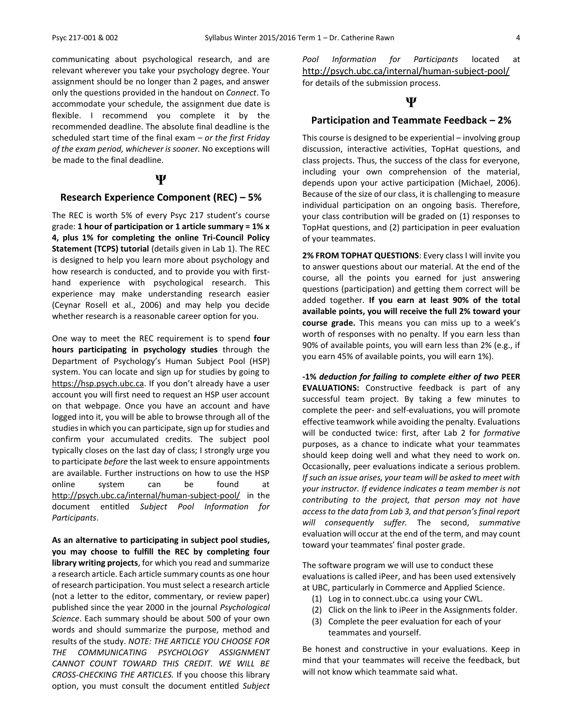communicating about psychological research, and are relevant wherever you take your psychology degree. Your assignment should be no longer than 2 pages, and answer only the questions provided in the handout on *Connect*. To accommodate your schedule, the assignment due date is flexible. I recommend you complete it by the recommended deadline. The absolute final deadline is the scheduled start time of the final exam – *or the first Friday of the exam period, whichever is sooner.* No exceptions will be made to the final deadline.

#### **Ψ**

#### **Research Experience Component (REC) – 5%**

The REC is worth 5% of every Psyc 217 student's course grade: **1 hour of participation or 1 article summary = 1% x 4, plus 1% for completing the online Tri-Council Policy Statement (TCPS) tutorial** (details given in Lab 1). The REC is designed to help you learn more about psychology and how research is conducted, and to provide you with firsthand experience with psychological research. This experience may make understanding research easier (Ceynar Rosell et al., 2006) and may help you decide whether research is a reasonable career option for you.

One way to meet the REC requirement is to spend **four hours participating in psychology studies** through the Department of Psychology's Human Subject Pool (HSP) system. You can locate and sign up for studies by going to [https://hsp.psych.ubc.ca](https://hsp.psych.ubc.ca/). If you don't already have a user account you will first need to request an HSP user account on that webpage. Once you have an account and have logged into it, you will be able to browse through all of the studies in which you can participate, sign up for studies and confirm your accumulated credits. The subject pool typically closes on the last day of class; I strongly urge you to participate *before* the last week to ensure appointments are available. Further instructions on how to use the HSP online system can be found at <http://psych.ubc.ca/internal/human-subject-pool/> in the document entitled *Subject Pool Information for Participants*.

**As an alternative to participating in subject pool studies, you may choose to fulfill the REC by completing four library writing projects**, for which you read and summarize a research article. Each article summary counts as one hour of research participation. You must select a research article (not a letter to the editor, commentary, or review paper) published since the year 2000 in the journal *Psychological Science*. Each summary should be about 500 of your own words and should summarize the purpose, method and results of the study. *NOTE: THE ARTICLE YOU CHOOSE FOR THE COMMUNICATING PSYCHOLOGY ASSIGNMENT CANNOT COUNT TOWARD THIS CREDIT. WE WILL BE CROSS-CHECKING THE ARTICLES.* If you choose this library option, you must consult the document entitled *Subject*  *Pool Information for Participants* located at <http://psych.ubc.ca/internal/human-subject-pool/> for details of the submission process.

#### **Ψ**

#### **Participation and Teammate Feedback – 2%**

This course is designed to be experiential – involving group discussion, interactive activities, TopHat questions, and class projects. Thus, the success of the class for everyone, including your own comprehension of the material, depends upon your active participation (Michael, 2006). Because of the size of our class, it is challenging to measure individual participation on an ongoing basis. Therefore, your class contribution will be graded on (1) responses to TopHat questions, and (2) participation in peer evaluation of your teammates.

**2% FROM TOPHAT QUESTIONS**: Every class I will invite you to answer questions about our material. At the end of the course, all the points you earned for just answering questions (participation) and getting them correct will be added together. **If you earn at least 90% of the total available points, you will receive the full 2% toward your course grade.** This means you can miss up to a week's worth of responses with no penalty. If you earn less than 90% of available points, you will earn less than 2% (e.g., if you earn 45% of available points, you will earn 1%).

**-1%** *deduction for failing to complete either of two* **PEER EVALUATIONS:** Constructive feedback is part of any successful team project. By taking a few minutes to complete the peer- and self-evaluations, you will promote effective teamwork while avoiding the penalty. Evaluations will be conducted twice: first, after Lab 2 for *formative* purposes, as a chance to indicate what your teammates should keep doing well and what they need to work on. Occasionally, peer evaluations indicate a serious problem. *If such an issue arises, your team will be asked to meet with your instructor. If evidence indicates a team member is not contributing to the project, that person may not have access to the data from Lab 3, and that person's final report will consequently suffer.* The second, *summative* evaluation will occur at the end of the term, and may count toward your teammates' final poster grade.

The software program we will use to conduct these evaluations is called iPeer, and has been used extensively at UBC, particularly in Commerce and Applied Science.

- (1) Log in to connect.ubc.ca using your CWL.
- (2) Click on the link to iPeer in the Assignments folder.
- (3) Complete the peer evaluation for each of your teammates and yourself.

Be honest and constructive in your evaluations. Keep in mind that your teammates will receive the feedback, but will not know which teammate said what.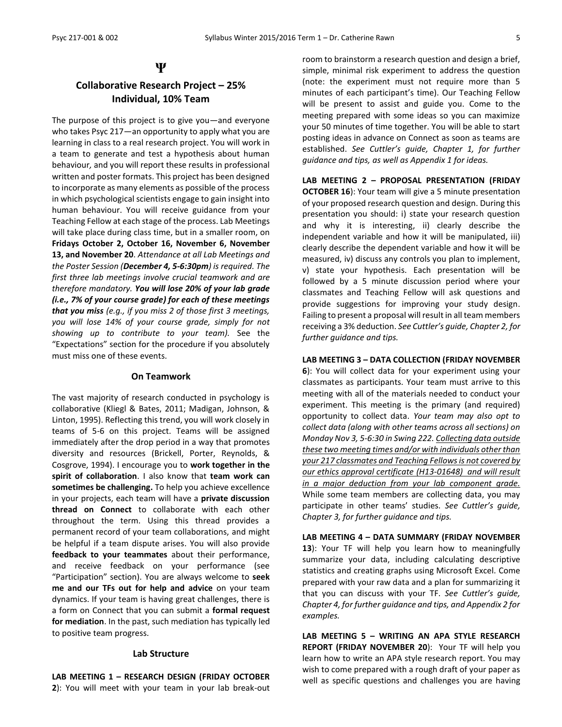#### **Ψ**

### **Collaborative Research Project – 25% Individual, 10% Team**

The purpose of this project is to give you—and everyone who takes Psyc 217—an opportunity to apply what you are learning in class to a real research project. You will work in a team to generate and test a hypothesis about human behaviour*,* and you will report these results in professional written and poster formats. This project has been designed to incorporate as many elements as possible of the process in which psychological scientists engage to gain insight into human behaviour. You will receive guidance from your Teaching Fellow at each stage of the process. Lab Meetings will take place during class time, but in a smaller room, on **Fridays October 2, October 16, November 6, November 13, and November 20**. *Attendance at all Lab Meetings and the Poster Session (December 4, 5-6:30pm) is required. The first three lab meetings involve crucial teamwork and are therefore mandatory. You will lose 20% of your lab grade (i.e., 7% of your course grade) for each of these meetings that you miss (e.g., if you miss 2 of those first 3 meetings, you will lose 14% of your course grade, simply for not showing up to contribute to your team).* See the "Expectations" section for the procedure if you absolutely must miss one of these events.

#### **On Teamwork**

The vast majority of research conducted in psychology is collaborative (Kliegl & Bates, 2011; Madigan, Johnson, & Linton, 1995). Reflecting this trend, you will work closely in teams of 5-6 on this project. Teams will be assigned immediately after the drop period in a way that promotes diversity and resources (Brickell, Porter, Reynolds, & Cosgrove, 1994). I encourage you to **work together in the spirit of collaboration**. I also know that **team work can sometimes be challenging.** To help you achieve excellence in your projects, each team will have a **private discussion thread on Connect** to collaborate with each other throughout the term. Using this thread provides a permanent record of your team collaborations, and might be helpful if a team dispute arises. You will also provide **feedback to your teammates** about their performance, and receive feedback on your performance (see "Participation" section). You are always welcome to **seek me and our TFs out for help and advice** on your team dynamics. If your team is having great challenges, there is a form on Connect that you can submit a **formal request for mediation**. In the past, such mediation has typically led to positive team progress.

#### **Lab Structure**

**LAB MEETING 1 – RESEARCH DESIGN (FRIDAY OCTOBER 2**): You will meet with your team in your lab break-out room to brainstorm a research question and design a brief, simple, minimal risk experiment to address the question (note: the experiment must not require more than 5 minutes of each participant's time). Our Teaching Fellow will be present to assist and guide you. Come to the meeting prepared with some ideas so you can maximize your 50 minutes of time together. You will be able to start posting ideas in advance on Connect as soon as teams are established. *See Cuttler's guide, Chapter 1, for further guidance and tips, as well as Appendix 1 for ideas.*

**LAB MEETING 2 – PROPOSAL PRESENTATION (FRIDAY OCTOBER 16**): Your team will give a 5 minute presentation of your proposed research question and design. During this presentation you should: i) state your research question and why it is interesting, ii) clearly describe the independent variable and how it will be manipulated, iii) clearly describe the dependent variable and how it will be measured, iv) discuss any controls you plan to implement, v) state your hypothesis. Each presentation will be followed by a 5 minute discussion period where your classmates and Teaching Fellow will ask questions and provide suggestions for improving your study design. Failing to present a proposal will result in all team members receiving a 3% deduction. *See Cuttler's guide, Chapter 2, for further guidance and tips.*

#### **LAB MEETING 3 – DATA COLLECTION (FRIDAY NOVEMBER**

**6**): You will collect data for your experiment using your classmates as participants. Your team must arrive to this meeting with all of the materials needed to conduct your experiment. This meeting is the primary (and required) opportunity to collect data. *Your team may also opt to collect data (along with other teams across all sections) on Monday Nov 3, 5-6:30 in Swing 222. Collecting data outside these two meeting times and/or with individuals other than your 217 classmates and Teaching Fellows is not covered by our ethics approval certificate (H13-01648) and will result in a major deduction from your lab component grade.* While some team members are collecting data, you may participate in other teams' studies. *See Cuttler's guide, Chapter 3, for further guidance and tips.*

**LAB MEETING 4 – DATA SUMMARY (FRIDAY NOVEMBER 13**): Your TF will help you learn how to meaningfully summarize your data, including calculating descriptive statistics and creating graphs using Microsoft Excel. Come prepared with your raw data and a plan for summarizing it that you can discuss with your TF. *See Cuttler's guide, Chapter 4, for further guidance and tips, and Appendix 2 for examples.*

**LAB MEETING 5 – WRITING AN APA STYLE RESEARCH REPORT (FRIDAY NOVEMBER 20**): Your TF will help you learn how to write an APA style research report. You may wish to come prepared with a rough draft of your paper as well as specific questions and challenges you are having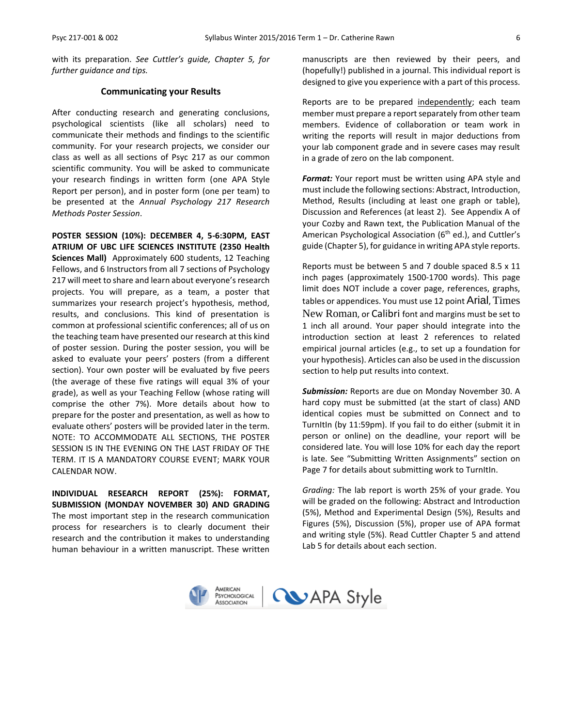with its preparation. *See Cuttler's guide, Chapter 5, for further guidance and tips.*

#### **Communicating your Results**

After conducting research and generating conclusions, psychological scientists (like all scholars) need to communicate their methods and findings to the scientific community. For your research projects, we consider our class as well as all sections of Psyc 217 as our common scientific community. You will be asked to communicate your research findings in written form (one APA Style Report per person), and in poster form (one per team) to be presented at the *Annual Psychology 217 Research Methods Poster Session*.

**POSTER SESSION (10%): DECEMBER 4, 5-6:30PM, EAST ATRIUM OF UBC LIFE SCIENCES INSTITUTE (2350 Health Sciences Mall)** Approximately 600 students, 12 Teaching Fellows, and 6 Instructors from all 7 sections of Psychology 217 will meet to share and learn about everyone's research projects. You will prepare, as a team, a poster that summarizes your research project's hypothesis, method, results, and conclusions. This kind of presentation is common at professional scientific conferences; all of us on the teaching team have presented our research at this kind of poster session. During the poster session, you will be asked to evaluate your peers' posters (from a different section). Your own poster will be evaluated by five peers (the average of these five ratings will equal 3% of your grade), as well as your Teaching Fellow (whose rating will comprise the other 7%). More details about how to prepare for the poster and presentation, as well as how to evaluate others' posters will be provided later in the term. NOTE: TO ACCOMMODATE ALL SECTIONS, THE POSTER SESSION IS IN THE EVENING ON THE LAST FRIDAY OF THE TERM. IT IS A MANDATORY COURSE EVENT; MARK YOUR CALENDAR NOW.

**INDIVIDUAL RESEARCH REPORT (25%): FORMAT, SUBMISSION (MONDAY NOVEMBER 30) AND GRADING**  The most important step in the research communication process for researchers is to clearly document their research and the contribution it makes to understanding human behaviour in a written manuscript. These written

manuscripts are then reviewed by their peers, and (hopefully!) published in a journal. This individual report is designed to give you experience with a part of this process.

Reports are to be prepared independently; each team member must prepare a report separately from other team members. Evidence of collaboration or team work in writing the reports will result in major deductions from your lab component grade and in severe cases may result in a grade of zero on the lab component.

*Format:* Your report must be written using APA style and must include the following sections: Abstract, Introduction, Method, Results (including at least one graph or table), Discussion and References (at least 2). See Appendix A of your Cozby and Rawn text, the Publication Manual of the American Psychological Association (6<sup>th</sup> ed.), and Cuttler's guide (Chapter 5), for guidance in writing APA style reports.

Reports must be between 5 and 7 double spaced 8.5 x 11 inch pages (approximately 1500-1700 words). This page limit does NOT include a cover page, references, graphs, tables or appendices. You must use 12 point Arial, Times New Roman, or Calibri font and margins must be set to 1 inch all around. Your paper should integrate into the introduction section at least 2 references to related empirical journal articles (e.g., to set up a foundation for your hypothesis). Articles can also be used in the discussion section to help put results into context.

*Submission:* Reports are due on Monday November 30. A hard copy must be submitted (at the start of class) AND identical copies must be submitted on Connect and to TurnItIn (by 11:59pm). If you fail to do either (submit it in person or online) on the deadline, your report will be considered late. You will lose 10% for each day the report is late. See "Submitting Written Assignments" section on Page 7 for details about submitting work to TurnItIn.

*Grading:* The lab report is worth 25% of your grade. You will be graded on the following: Abstract and Introduction (5%), Method and Experimental Design (5%), Results and Figures (5%), Discussion (5%), proper use of APA format and writing style (5%). Read Cuttler Chapter 5 and attend Lab 5 for details about each section.

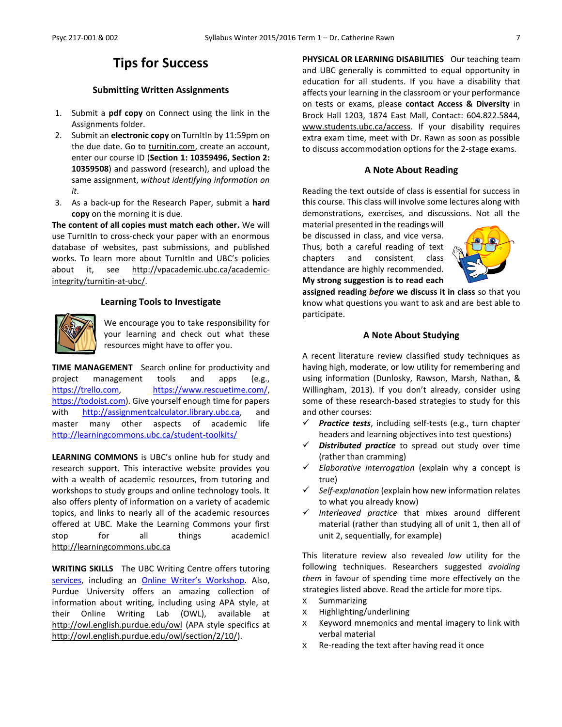### **Tips for Success**

#### **Submitting Written Assignments**

- 1. Submit a **pdf copy** on Connect using the link in the Assignments folder.
- 2. Submit an **electronic copy** on TurnItIn by 11:59pm on the due date. Go to [turnitin.com,](http://turnitin.com/) create an account, enter our course ID (**Section 1: 10359496, Section 2: 10359508**) and password (research), and upload the same assignment, *without identifying information on it*.
- 3. As a back-up for the Research Paper, submit a **hard copy** on the morning it is due.

**The content of all copies must match each other.** We will use TurnItIn to cross-check your paper with an enormous database of websites, past submissions, and published works. To learn more about TurnItIn and UBC's policies about it, see [http://vpacademic.ubc.ca/academic](http://vpacademic.ubc.ca/academic-integrity/turnitin-at-ubc/)[integrity/turnitin-at-ubc/.](http://vpacademic.ubc.ca/academic-integrity/turnitin-at-ubc/)

#### **Learning Tools to Investigate**



We encourage you to take responsibility for your learning and check out what these resources might have to offer you.

**TIME MANAGEMENT** Search online for productivity and project management tools and apps (e.g., [https://trello.com,](https://trello.com/) [https://www.rescuetime.com/,](https://www.rescuetime.com/) [https://todoist.com\)](https://todoist.com/). Give yourself enough time for papers with [http://assignmentcalculator.library.ubc.ca,](http://assignmentcalculator.library.ubc.ca/) and master many other aspects of academic life <http://learningcommons.ubc.ca/student-toolkits/>

**LEARNING COMMONS** is UBC's online hub for study and research support. This interactive website provides you with a wealth of academic resources, from tutoring and workshops to study groups and online technology tools. It also offers plenty of information on a variety of academic topics, and links to nearly all of the academic resources offered at UBC. Make the Learning Commons your first stop for all things academic! [http://learningcommons.ubc.ca](http://learningcommons.ubc.ca/)

**WRITING SKILLS** The UBC Writing Centre offers tutoring [services,](http://cstudies.ubc.ca/writing/resources.html) including an [Online Writer's Workshop](http://www.writingcentre.ubc.ca/workshop/index.html). Also, Purdue University offers an amazing collection of information about writing, including using APA style, at their Online Writing Lab (OWL), available at [http://owl.english.purdue.edu/owl](http://owl.english.purdue.edu/owl/) (APA style specifics at [http://owl.english.purdue.edu/owl/section/2/10/\)](http://owl.english.purdue.edu/owl/section/2/10/).

PHYSICAL OR LEARNING DISABILITIES Our teaching team and UBC generally is committed to equal opportunity in education for all students. If you have a disability that affects your learning in the classroom or your performance on tests or exams, please **contact Access & Diversity** in Brock Hall 1203, 1874 East Mall, Contact: 604.822.5844, [www.students.ubc.ca/access.](http://www.students.ubc.ca/access) If your disability requires extra exam time, meet with Dr. Rawn as soon as possible to discuss accommodation options for the 2-stage exams.

#### **A Note About Reading**

Reading the text outside of class is essential for success in this course. This class will involve some lectures along with demonstrations, exercises, and discussions. Not all the

material presented in the readings will be discussed in class, and vice versa. Thus, both a careful reading of text chapters and consistent class attendance are highly recommended. **My strong suggestion is to read each** 



**assigned reading** *before* **we discuss it in class** so that you know what questions you want to ask and are best able to participate.

#### **A Note About Studying**

A recent literature review classified study techniques as having high, moderate, or low utility for remembering and using information (Dunlosky, Rawson, Marsh, Nathan, & Willingham, 2013). If you don't already, consider using some of these research-based strategies to study for this and other courses:

- *Practice tests*, including self-tests (e.g., turn chapter headers and learning objectives into test questions)
- *Distributed practice* to spread out study over time (rather than cramming)
- *Elaborative interrogation* (explain why a concept is true)
- *Self-explanation* (explain how new information relates to what you already know)
- *Interleaved practice* that mixes around different material (rather than studying all of unit 1, then all of unit 2, sequentially, for example)

This literature review also revealed *low* utility for the following techniques. Researchers suggested *avoiding them* in favour of spending time more effectively on the strategies listed above. Read the article for more tips.

- x Summarizing
- x Highlighting/underlining
- x Keyword mnemonics and mental imagery to link with verbal material
- x Re-reading the text after having read it once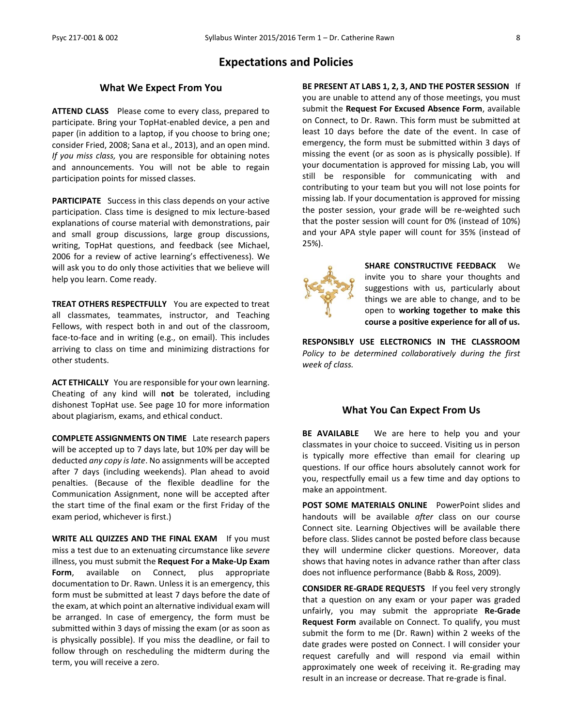#### **Expectations and Policies**

#### **What We Expect From You**

**ATTEND CLASS** Please come to every class, prepared to participate. Bring your TopHat-enabled device, a pen and paper (in addition to a laptop, if you choose to bring one; consider Fried, 2008; Sana et al., 2013), and an open mind. *If you miss class,* you are responsible for obtaining notes and announcements. You will not be able to regain participation points for missed classes.

**PARTICIPATE** Success in this class depends on your active participation. Class time is designed to mix lecture-based explanations of course material with demonstrations, pair and small group discussions, large group discussions, writing, TopHat questions, and feedback (see Michael, 2006 for a review of active learning's effectiveness). We will ask you to do only those activities that we believe will help you learn. Come ready.

**TREAT OTHERS RESPECTFULLY** You are expected to treat all classmates, teammates, instructor, and Teaching Fellows, with respect both in and out of the classroom, face-to-face and in writing (e.g., on email). This includes arriving to class on time and minimizing distractions for other students.

**ACT ETHICALLY** You are responsible for your own learning. Cheating of any kind will **not** be tolerated, including dishonest TopHat use. See page 10 for more information about plagiarism, exams, and ethical conduct.

**COMPLETE ASSIGNMENTS ON TIME** Late research papers will be accepted up to 7 days late, but 10% per day will be deducted *any copy is late*. No assignments will be accepted after 7 days (including weekends). Plan ahead to avoid penalties. (Because of the flexible deadline for the Communication Assignment, none will be accepted after the start time of the final exam or the first Friday of the exam period, whichever is first.)

**WRITE ALL QUIZZES AND THE FINAL EXAM** If you must miss a test due to an extenuating circumstance like *severe* illness, you must submit the **Request For a Make-Up Exam Form**, available on Connect, plus appropriate documentation to Dr. Rawn. Unless it is an emergency, this form must be submitted at least 7 days before the date of the exam, at which point an alternative individual exam will be arranged. In case of emergency, the form must be submitted within 3 days of missing the exam (or as soon as is physically possible). If you miss the deadline, or fail to follow through on rescheduling the midterm during the term, you will receive a zero.

**BE PRESENT AT LABS 1, 2, 3, AND THE POSTER SESSION** If you are unable to attend any of those meetings, you must submit the **Request For Excused Absence Form**, available on Connect, to Dr. Rawn. This form must be submitted at least 10 days before the date of the event. In case of emergency, the form must be submitted within 3 days of missing the event (or as soon as is physically possible). If your documentation is approved for missing Lab, you will still be responsible for communicating with and contributing to your team but you will not lose points for missing lab. If your documentation is approved for missing the poster session, your grade will be re-weighted such that the poster session will count for 0% (instead of 10%) and your APA style paper will count for 35% (instead of 25%).



**SHARE CONSTRUCTIVE FEEDBACK** We invite you to share your thoughts and suggestions with us, particularly about things we are able to change, and to be open to **working together to make this course a positive experience for all of us.**

**RESPONSIBLY USE ELECTRONICS IN THE CLASSROOM** *Policy to be determined collaboratively during the first week of class.*

#### **What You Can Expect From Us**

**BE AVAILABLE** We are here to help you and your classmates in your choice to succeed. Visiting us in person is typically more effective than email for clearing up questions. If our office hours absolutely cannot work for you, respectfully email us a few time and day options to make an appointment.

**POST SOME MATERIALS ONLINE** PowerPoint slides and handouts will be available *after* class on our course Connect site. Learning Objectives will be available there before class. Slides cannot be posted before class because they will undermine clicker questions. Moreover, data shows that having notes in advance rather than after class does not influence performance (Babb & Ross, 2009).

**CONSIDER RE-GRADE REQUESTS** If you feel very strongly that a question on any exam or your paper was graded unfairly, you may submit the appropriate **Re-Grade Request Form** available on Connect. To qualify, you must submit the form to me (Dr. Rawn) within 2 weeks of the date grades were posted on Connect. I will consider your request carefully and will respond via email within approximately one week of receiving it. Re-grading may result in an increase or decrease. That re-grade is final.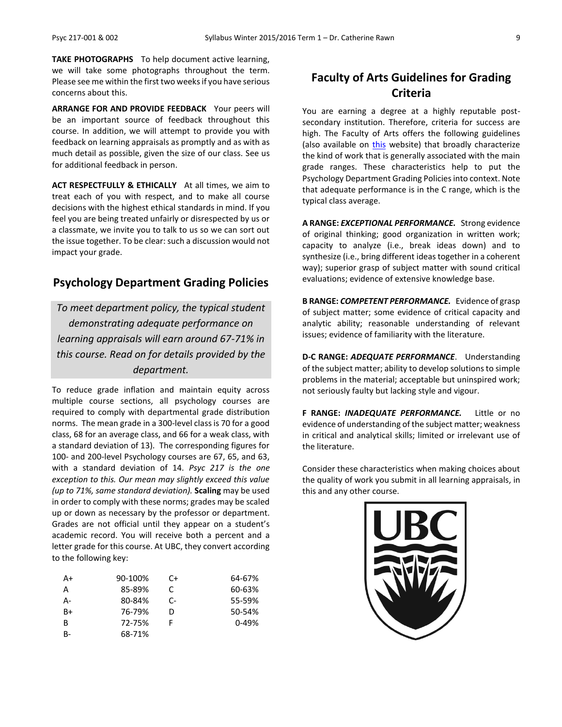**TAKE PHOTOGRAPHS** To help document active learning, we will take some photographs throughout the term. Please see me within the first two weeks if you have serious concerns about this.

**ARRANGE FOR AND PROVIDE FEEDBACK** Your peers will be an important source of feedback throughout this course. In addition, we will attempt to provide you with feedback on learning appraisals as promptly and as with as much detail as possible, given the size of our class. See us for additional feedback in person.

**ACT RESPECTFULLY & ETHICALLY** At all times, we aim to treat each of you with respect, and to make all course decisions with the highest ethical standards in mind. If you feel you are being treated unfairly or disrespected by us or a classmate, we invite you to talk to us so we can sort out the issue together. To be clear: such a discussion would not impact your grade.

### **Psychology Department Grading Policies**

*To meet department policy, the typical student demonstrating adequate performance on learning appraisals will earn around 67-71% in this course. Read on for details provided by the department.*

To reduce grade inflation and maintain equity across multiple course sections, all psychology courses are required to comply with departmental grade distribution norms. The mean grade in a 300-level class is 70 for a good class, 68 for an average class, and 66 for a weak class, with a standard deviation of 13). The corresponding figures for 100- and 200-level Psychology courses are 67, 65, and 63, with a standard deviation of 14. *Psyc 217 is the one exception to this. Our mean may slightly exceed this value (up to 71%, same standard deviation).* **Scaling** may be used in order to comply with these norms; grades may be scaled up or down as necessary by the professor or department. Grades are not official until they appear on a student's academic record. You will receive both a percent and a letter grade for this course. At UBC, they convert according to the following key:

| A+        | 90-100% | C+ | 64-67%    |
|-----------|---------|----|-----------|
| А         | 85-89%  | C  | 60-63%    |
| А-        | 80-84%  | C- | 55-59%    |
| B+        | 76-79%  | D  | 50-54%    |
| B         | 72-75%  |    | $0 - 49%$ |
| <b>B-</b> | 68-71%  |    |           |

### **Faculty of Arts Guidelines for Grading Criteria**

You are earning a degree at a highly reputable postsecondary institution. Therefore, criteria for success are high. The Faculty of Arts offers the following guidelines (also available on [this](http://legacy.arts.ubc.ca/faculty-amp-staff/resources/courses-and-grading/grading-guidelines.html) website) that broadly characterize the kind of work that is generally associated with the main grade ranges. These characteristics help to put the Psychology Department Grading Policies into context. Note that adequate performance is in the C range, which is the typical class average.

**A RANGE:** *EXCEPTIONAL PERFORMANCE.* Strong evidence of original thinking; good organization in written work; capacity to analyze (i.e., break ideas down) and to synthesize (i.e., bring different ideas together in a coherent way); superior grasp of subject matter with sound critical evaluations; evidence of extensive knowledge base.

**B RANGE:** *COMPETENT PERFORMANCE.* Evidence of grasp of subject matter; some evidence of critical capacity and analytic ability; reasonable understanding of relevant issues; evidence of familiarity with the literature.

**D-C RANGE:** *ADEQUATE PERFORMANCE*. Understanding of the subject matter; ability to develop solutions to simple problems in the material; acceptable but uninspired work; not seriously faulty but lacking style and vigour.

**F RANGE:** *INADEQUATE PERFORMANCE.* Little or no evidence of understanding of the subject matter; weakness in critical and analytical skills; limited or irrelevant use of the literature.

Consider these characteristics when making choices about the quality of work you submit in all learning appraisals, in this and any other course.

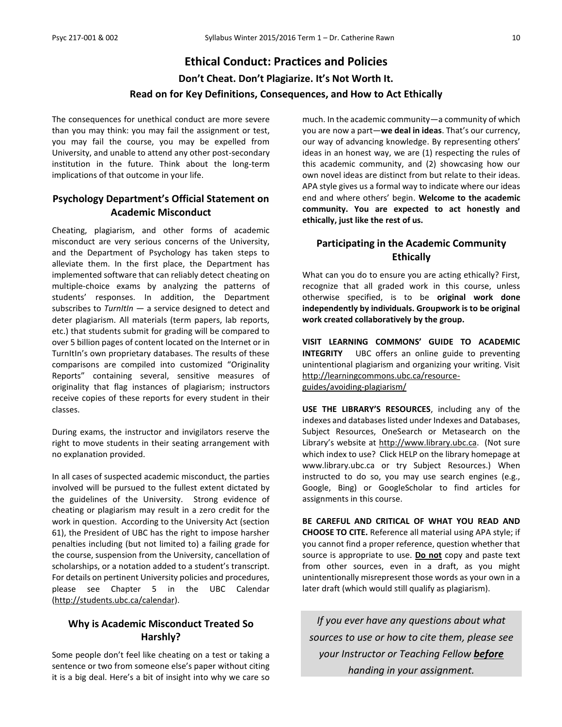## **Ethical Conduct: Practices and Policies Don't Cheat. Don't Plagiarize. It's Not Worth It. Read on for Key Definitions, Consequences, and How to Act Ethically**

The consequences for unethical conduct are more severe than you may think: you may fail the assignment or test, you may fail the course, you may be expelled from University, and unable to attend any other post-secondary institution in the future. Think about the long-term implications of that outcome in your life.

### **Psychology Department's Official Statement on Academic Misconduct**

Cheating, plagiarism, and other forms of academic misconduct are very serious concerns of the University, and the Department of Psychology has taken steps to alleviate them. In the first place, the Department has implemented software that can reliably detect cheating on multiple-choice exams by analyzing the patterns of students' responses. In addition, the Department subscribes to *TurnItIn* — a service designed to detect and deter plagiarism. All materials (term papers, lab reports, etc.) that students submit for grading will be compared to over 5 billion pages of content located on the Internet or in TurnItIn's own proprietary databases. The results of these comparisons are compiled into customized "Originality Reports" containing several, sensitive measures of originality that flag instances of plagiarism; instructors receive copies of these reports for every student in their classes.

During exams, the instructor and invigilators reserve the right to move students in their seating arrangement with no explanation provided.

In all cases of suspected academic misconduct, the parties involved will be pursued to the fullest extent dictated by the guidelines of the University. Strong evidence of cheating or plagiarism may result in a zero credit for the work in question. According to the University Act (section 61), the President of UBC has the right to impose harsher penalties including (but not limited to) a failing grade for the course, suspension from the University, cancellation of scholarships, or a notation added to a student's transcript. For details on pertinent University policies and procedures, please see Chapter 5 in the UBC Calendar [\(http://students.ubc.ca/calendar\)](http://students.ubc.ca/calendar).

#### **Why is Academic Misconduct Treated So Harshly?**

Some people don't feel like cheating on a test or taking a sentence or two from someone else's paper without citing it is a big deal. Here's a bit of insight into why we care so

much. In the academic community—a community of which you are now a part—**we deal in ideas**. That's our currency, our way of advancing knowledge. By representing others' ideas in an honest way, we are (1) respecting the rules of this academic community, and (2) showcasing how our own novel ideas are distinct from but relate to their ideas. APA style gives us a formal way to indicate where our ideas end and where others' begin. **Welcome to the academic community. You are expected to act honestly and ethically, just like the rest of us.**

### **Participating in the Academic Community Ethically**

What can you do to ensure you are acting ethically? First, recognize that all graded work in this course, unless otherwise specified, is to be **original work done independently by individuals. Groupwork is to be original work created collaboratively by the group.**

**VISIT LEARNING COMMONS' GUIDE TO ACADEMIC INTEGRITY** UBC offers an online guide to preventing unintentional plagiarism and organizing your writing. Visit [http://learningcommons.ubc.ca/resource](http://learningcommons.ubc.ca/resource-guides/avoiding-plagiarism/)[guides/avoiding-plagiarism/](http://learningcommons.ubc.ca/resource-guides/avoiding-plagiarism/)

**USE THE LIBRARY'S RESOURCES**, including any of the indexes and databases listed under Indexes and Databases, Subject Resources, OneSearch or Metasearch on the Library's website at [http://www.library.ubc.ca.](http://www.library.ubc.ca/) (Not sure which index to use? Click HELP on the library homepage at www.library.ubc.ca or try Subject Resources.) When instructed to do so, you may use search engines (e.g., Google, Bing) or GoogleScholar to find articles for assignments in this course.

**BE CAREFUL AND CRITICAL OF WHAT YOU READ AND CHOOSE TO CITE.** Reference all material using APA style; if you cannot find a proper reference, question whether that source is appropriate to use. **Do not** copy and paste text from other sources, even in a draft, as you might unintentionally misrepresent those words as your own in a later draft (which would still qualify as plagiarism).

*If you ever have any questions about what sources to use or how to cite them, please see your Instructor or Teaching Fellow before handing in your assignment.*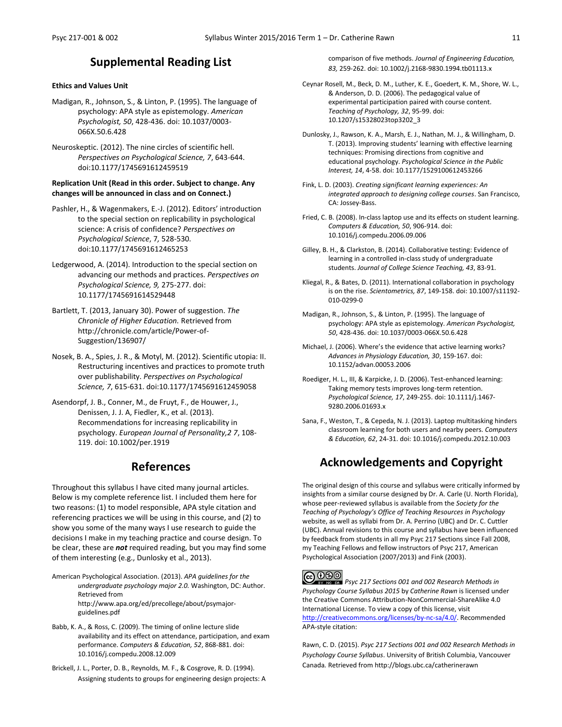### **Supplemental Reading List**

#### **Ethics and Values Unit**

- Madigan, R., Johnson, S., & Linton, P. (1995). The language of psychology: APA style as epistemology. *American Psychologist, 50*, 428-436. doi: 10.1037/0003- 066X.50.6.428
- Neuroskeptic. (2012). The nine circles of scientific hell. *Perspectives on Psychological Science, 7*, 643-644. doi:10.1177/1745691612459519

#### **Replication Unit (Read in this order. Subject to change. Any changes will be announced in class and on Connect.)**

- Pashler, H., & Wagenmakers, E.-J. (2012). Editors' introduction to the special section on replicability in psychological science: A crisis of confidence? *Perspectives on Psychological Science*, 7*,* 528-530. doi:10.1177/1745691612465253
- Ledgerwood, A. (2014). Introduction to the special section on advancing our methods and practices. *Perspectives on Psychological Science, 9,* 275-277. doi: 10.1177/1745691614529448
- Bartlett, T. (2013, January 30). Power of suggestion. *The Chronicle of Higher Education.* Retrieved from http://chronicle.com/article/Power-of-Suggestion/136907/
- Nosek, B. A., Spies, J. R., & Motyl, M. (2012). Scientific utopia: II. Restructuring incentives and practices to promote truth over publishability. *Perspectives on Psychological Science, 7*, 615-631. doi:10.1177/1745691612459058
- Asendorpf, J. B., Conner, M., de Fruyt, F., de Houwer, J., Denissen, J. J. A, Fiedler, K., et al. (2013). Recommendations for increasing replicability in psychology. *European Journal of Personality,2 7*, 108- 119. doi: 10.1002/per.1919

### **References**

Throughout this syllabus I have cited many journal articles. Below is my complete reference list. I included them here for two reasons: (1) to model responsible, APA style citation and referencing practices we will be using in this course, and (2) to show you some of the many ways I use research to guide the decisions I make in my teaching practice and course design. To be clear, these are *not* required reading, but you may find some of them interesting (e.g., Dunlosky et al., 2013).

- American Psychological Association. (2013). *APA guidelines for the undergraduate psychology major 2.0.* Washington, DC: Author. Retrieved from http://www.apa.org/ed/precollege/about/psymajorguidelines.pdf
- Babb, K. A., & Ross, C. (2009). The timing of online lecture slide availability and its effect on attendance, participation, and exam performance. *Computers & Education, 52*, 868-881. doi: 10.1016/j.compedu.2008.12.009
- Brickell, J. L., Porter, D. B., Reynolds, M. F., & Cosgrove, R. D. (1994). Assigning students to groups for engineering design projects: A

comparison of five methods. *Journal of Engineering Education, 83,* 259-262. doi: 10.1002/j.2168-9830.1994.tb01113.x

Ceynar Rosell, M., Beck, D. M., Luther, K. E., Goedert, K. M., Shore, W. L., & Anderson, D. D. (2006). The pedagogical value of experimental participation paired with course content. *Teaching of Psychology, 32*, 95-99. doi: 10.1207/s15328023top3202\_3

Dunlosky, J., Rawson, K. A., Marsh, E. J., Nathan, M. J., & Willingham, D. T. (2013). Improving students' learning with effective learning techniques: Promising directions from cognitive and educational psychology. *Psychological Science in the Public Interest, 14*, 4-58. doi: 10.1177/1529100612453266

- Fink, L. D. (2003). *Creating significant learning experiences: An integrated approach to designing college courses*. San Francisco, CA: Jossey-Bass.
- Fried, C. B. (2008). In-class laptop use and its effects on student learning. *Computers & Education, 50*, 906-914. doi: 10.1016/j.compedu.2006.09.006
- Gilley, B. H., & Clarkston, B. (2014). Collaborative testing: Evidence of learning in a controlled in-class study of undergraduate students. *Journal of College Science Teaching, 43*, 83-91.
- Kliegal, R., & Bates, D. (2011). International collaboration in psychology is on the rise. *Scientometrics, 87*, 149-158. doi: 10.1007/s11192- 010-0299-0
- Madigan, R., Johnson, S., & Linton, P. (1995). The language of psychology: APA style as epistemology. *American Psychologist, 50*, 428-436. doi: 10.1037/0003-066X.50.6.428
- Michael, J. (2006). Where's the evidence that active learning works? *Advances in Physiology Education, 30*, 159-167. doi: 10.1152/advan.00053.2006
- Roediger, H. L., III, & Karpicke, J. D. (2006). Test-enhanced learning: Taking memory tests improves long-term retention. *Psychological Science, 17*, 249-255. doi: 10.1111/j.1467- 9280.2006.01693.x
- Sana, F., Weston, T., & Cepeda, N. J. (2013). Laptop multitasking hinders classroom learning for both users and nearby peers. *Computers & Education, 62*, 24-31. doi: 10.1016/j.compedu.2012.10.003

### **Acknowledgements and Copyright**

The original design of this course and syllabus were critically informed by insights from a similar course designed by Dr. A. Carle (U. North Florida), whose peer-reviewed syllabus is available from the *Society for the Teaching of Psychology's Office of Teaching Resources in Psychology* website, as well as syllabi from Dr. A. Perrino (UBC) and Dr. C. Cuttler (UBC). Annual revisions to this course and syllabus have been influenced by feedback from students in all my Psyc 217 Sections since Fall 2008, my Teaching Fellows and fellow instructors of Psyc 217, American Psychological Association (2007/2013) and Fink (2003).

**C**  $\bigcirc$  **PSO**<br>**Psyc 217 Sections 001 and 002 Research Methods in <b>Prime Strup** is licensed under *Psychology Course Syllabus 2015* by *Catherine Rawn* is licensed under the Creative Commons Attribution-NonCommercial-ShareAlike 4.0 International License. To view a copy of this license, visit [http://creativecommons.org/licenses/by-nc-sa/4.0/.](http://creativecommons.org/licenses/by-nc-sa/4.0/) Recommended APA-style citation:

Rawn, C. D. (2015). *Psyc 217 Sections 001 and 002 Research Methods in Psychology Course Syllabus*. University of British Columbia, Vancouver Canada*.* Retrieved from http://blogs.ubc.ca/catherinerawn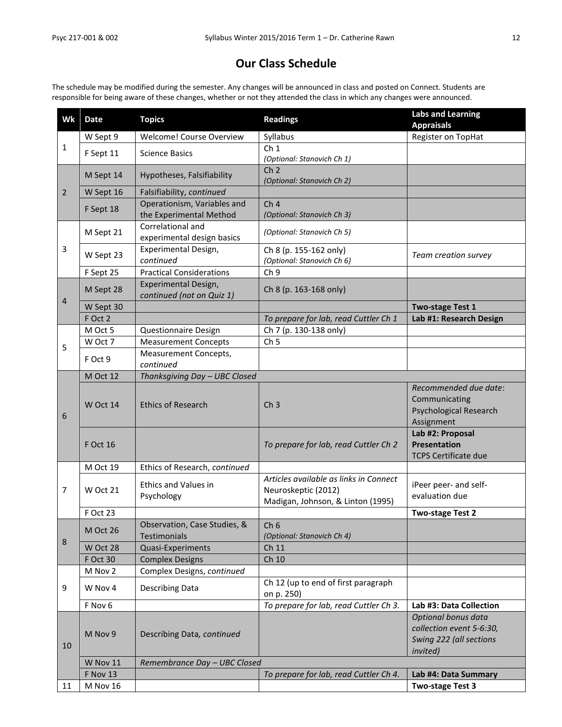### **Our Class Schedule**

The schedule may be modified during the semester. Any changes will be announced in class and posted on Connect. Students are responsible for being aware of these changes, whether or not they attended the class in which any changes were announced.

| Wk             | <b>Date</b>     | <b>Topics</b>                   | <b>Readings</b>                        | <b>Labs and Learning</b>      |
|----------------|-----------------|---------------------------------|----------------------------------------|-------------------------------|
|                |                 |                                 |                                        | <b>Appraisals</b>             |
| $\mathbf{1}$   | W Sept 9        | Welcome! Course Overview        | Syllabus                               | Register on TopHat            |
|                | F Sept 11       | <b>Science Basics</b>           | Ch <sub>1</sub>                        |                               |
|                |                 |                                 | (Optional: Stanovich Ch 1)             |                               |
|                | M Sept 14       | Hypotheses, Falsifiability      | Ch <sub>2</sub>                        |                               |
|                |                 |                                 | (Optional: Stanovich Ch 2)             |                               |
| $\overline{2}$ | W Sept 16       | Falsifiability, continued       |                                        |                               |
|                | F Sept 18       | Operationism, Variables and     | Ch <sub>4</sub>                        |                               |
|                |                 | the Experimental Method         | (Optional: Stanovich Ch 3)             |                               |
|                | M Sept 21       | Correlational and               | (Optional: Stanovich Ch 5)             |                               |
|                |                 | experimental design basics      |                                        |                               |
| $\overline{3}$ | W Sept 23       | Experimental Design,            | Ch 8 (p. 155-162 only)                 | Team creation survey          |
|                |                 | continued                       | (Optional: Stanovich Ch 6)             |                               |
|                | F Sept 25       | <b>Practical Considerations</b> | Ch <sub>9</sub>                        |                               |
|                |                 | Experimental Design,            | Ch 8 (p. 163-168 only)                 |                               |
|                | M Sept 28       | continued (not on Quiz 1)       |                                        |                               |
| 4              | W Sept 30       |                                 |                                        | <b>Two-stage Test 1</b>       |
|                | F Oct 2         |                                 | To prepare for lab, read Cuttler Ch 1  | Lab #1: Research Design       |
|                | M Oct 5         | Questionnaire Design            | Ch 7 (p. 130-138 only)                 |                               |
|                | W Oct 7         | <b>Measurement Concepts</b>     | Ch <sub>5</sub>                        |                               |
| 5              |                 | Measurement Concepts,           |                                        |                               |
|                | F Oct 9         | continued                       |                                        |                               |
|                | M Oct 12        | Thanksgiving Day - UBC Closed   |                                        |                               |
|                |                 |                                 |                                        | Recommended due date:         |
|                |                 |                                 |                                        | Communicating                 |
|                | W Oct 14        | <b>Ethics of Research</b>       | Ch <sub>3</sub>                        | <b>Psychological Research</b> |
| 6              |                 |                                 |                                        | Assignment                    |
|                |                 |                                 |                                        | Lab #2: Proposal              |
|                | <b>F Oct 16</b> |                                 | To prepare for lab, read Cuttler Ch 2  | <b>Presentation</b>           |
|                |                 |                                 |                                        | <b>TCPS Certificate due</b>   |
|                | M Oct 19        | Ethics of Research, continued   |                                        |                               |
|                |                 |                                 | Articles available as links in Connect |                               |
| $\overline{7}$ | W Oct 21        | <b>Ethics and Values in</b>     | Neuroskeptic (2012)                    | iPeer peer- and self-         |
|                |                 | Psychology                      | Madigan, Johnson, & Linton (1995)      | evaluation due                |
|                | F Oct 23        |                                 |                                        | Two-stage Test 2              |
|                |                 | Observation, Case Studies, &    | Ch <sub>6</sub>                        |                               |
|                | M Oct 26        | Testimonials                    | (Optional: Stanovich Ch 4)             |                               |
| 8              | W Oct 28        | Quasi-Experiments               | Ch 11                                  |                               |
|                | F Oct 30        | <b>Complex Designs</b>          | Ch 10                                  |                               |
|                | M Nov 2         | Complex Designs, continued      |                                        |                               |
|                |                 |                                 | Ch 12 (up to end of first paragraph    |                               |
| 9              | W Nov 4         | <b>Describing Data</b>          | on p. 250)                             |                               |
|                | F Nov 6         |                                 | To prepare for lab, read Cuttler Ch 3. | Lab #3: Data Collection       |
|                |                 |                                 |                                        | Optional bonus data           |
|                |                 |                                 |                                        | collection event 5-6:30,      |
|                | M Nov 9         | Describing Data, continued      |                                        | Swing 222 (all sections       |
| 10             |                 |                                 |                                        | <i>invited</i> )              |
|                | W Nov 11        | Remembrance Day - UBC Closed    |                                        |                               |
|                | F Nov 13        |                                 | To prepare for lab, read Cuttler Ch 4. | Lab #4: Data Summary          |
| 11             | M Nov 16        |                                 |                                        | Two-stage Test 3              |
|                |                 |                                 |                                        |                               |